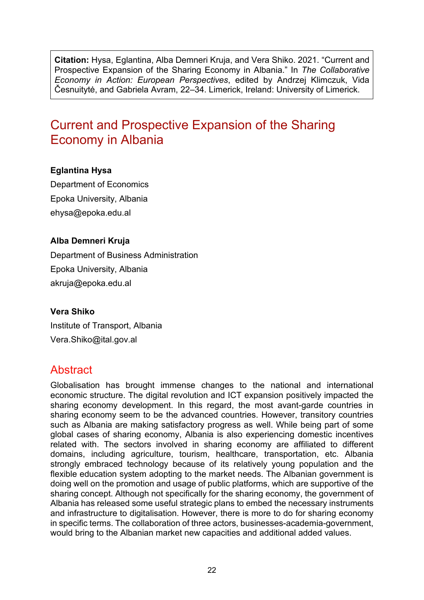**Citation:** Hysa, Eglantina, Alba Demneri Kruja, and Vera Shiko. 2021. "Current and Prospective Expansion of the Sharing Economy in Albania." In *The Collaborative Economy in Action: European Perspectives*, edited by Andrzej Klimczuk, Vida Česnuitytė, and Gabriela Avram, 22–34. Limerick, Ireland: University of Limerick.

# Current and Prospective Expansion of the Sharing Economy in Albania

### **Eglantina Hysa**

Department of Economics Epoka University, Albania ehysa@epoka.edu.al

#### **Alba Demneri Kruja**

Department of Business Administration Epoka University, Albania akruja@epoka.edu.al

#### **Vera Shiko**

Institute of Transport, Albania Vera.Shiko@ital.gov.al

### **Abstract**

Globalisation has brought immense changes to the national and international economic structure. The digital revolution and ICT expansion positively impacted the sharing economy development. In this regard, the most avant-garde countries in sharing economy seem to be the advanced countries. However, transitory countries such as Albania are making satisfactory progress as well. While being part of some global cases of sharing economy, Albania is also experiencing domestic incentives related with. The sectors involved in sharing economy are affiliated to different domains, including agriculture, tourism, healthcare, transportation, etc. Albania strongly embraced technology because of its relatively young population and the flexible education system adopting to the market needs. The Albanian government is doing well on the promotion and usage of public platforms, which are supportive of the sharing concept. Although not specifically for the sharing economy, the government of Albania has released some useful strategic plans to embed the necessary instruments and infrastructure to digitalisation. However, there is more to do for sharing economy in specific terms. The collaboration of three actors, businesses-academia-government, would bring to the Albanian market new capacities and additional added values.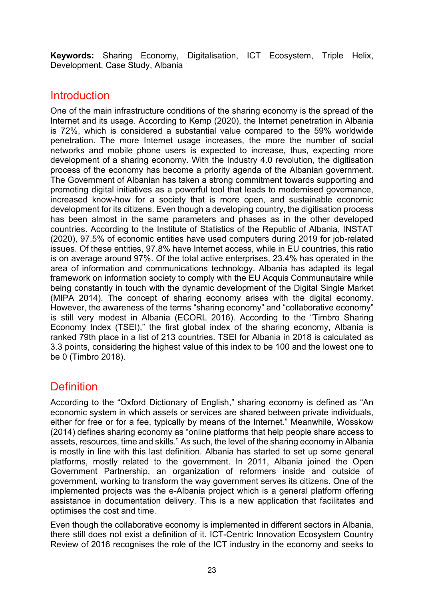**Keywords:** Sharing Economy, Digitalisation, ICT Ecosystem, Triple Helix, Development, Case Study, Albania

### **Introduction**

One of the main infrastructure conditions of the sharing economy is the spread of the Internet and its usage. According to Kemp (2020), the Internet penetration in Albania is 72%, which is considered a substantial value compared to the 59% worldwide penetration. The more Internet usage increases, the more the number of social networks and mobile phone users is expected to increase, thus, expecting more development of a sharing economy. With the Industry 4.0 revolution, the digitisation process of the economy has become a priority agenda of the Albanian government. The Government of Albanian has taken a strong commitment towards supporting and promoting digital initiatives as a powerful tool that leads to modernised governance, increased know-how for a society that is more open, and sustainable economic development for its citizens. Even though a developing country, the digitisation process has been almost in the same parameters and phases as in the other developed countries. According to the Institute of Statistics of the Republic of Albania, INSTAT (2020), 97.5% of economic entities have used computers during 2019 for job-related issues. Of these entities, 97.8% have Internet access, while in EU countries, this ratio is on average around 97%. Of the total active enterprises, 23.4% has operated in the area of information and communications technology. Albania has adapted its legal framework on information society to comply with the EU Acquis Communautaire while being constantly in touch with the dynamic development of the Digital Single Market (MIPA 2014). The concept of sharing economy arises with the digital economy. However, the awareness of the terms "sharing economy" and "collaborative economy" is still very modest in Albania (ECORL 2016). According to the "Timbro Sharing Economy Index (TSEI)," the first global index of the sharing economy, Albania is ranked 79th place in a list of 213 countries. TSEI for Albania in 2018 is calculated as 3.3 points, considering the highest value of this index to be 100 and the lowest one to be 0 (Timbro 2018).

## **Definition**

According to the "Oxford Dictionary of English," sharing economy is defined as "An economic system in which assets or services are shared between private individuals, either for free or for a fee, typically by means of the Internet." Meanwhile, Wosskow (2014) defines sharing economy as "online platforms that help people share access to assets, resources, time and skills." As such, the level of the sharing economy in Albania is mostly in line with this last definition. Albania has started to set up some general platforms, mostly related to the government. In 2011, Albania joined the Open Government Partnership, an organization of reformers inside and outside of government, working to transform the way government serves its citizens. One of the implemented projects was the e-Albania project which is a general platform offering assistance in documentation delivery. This is a new application that facilitates and optimises the cost and time.

Even though the collaborative economy is implemented in different sectors in Albania, there still does not exist a definition of it. ICT-Centric Innovation Ecosystem Country Review of 2016 recognises the role of the ICT industry in the economy and seeks to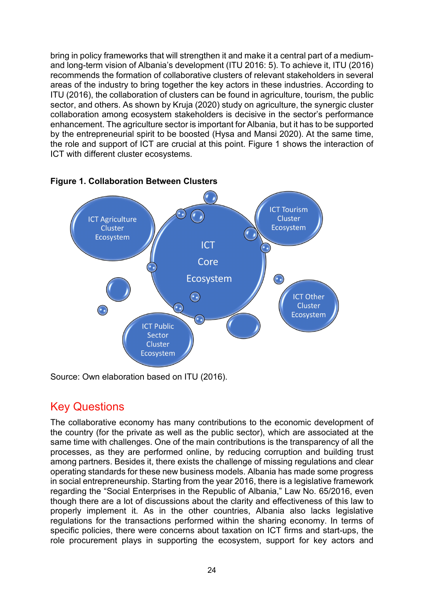bring in policy frameworks that will strengthen it and make it a central part of a mediumand long-term vision of Albania's development (ITU 2016: 5). To achieve it, ITU (2016) recommends the formation of collaborative clusters of relevant stakeholders in several areas of the industry to bring together the key actors in these industries. According to ITU (2016), the collaboration of clusters can be found in agriculture, tourism, the public sector, and others. As shown by Kruja (2020) study on agriculture, the synergic cluster collaboration among ecosystem stakeholders is decisive in the sector's performance enhancement. The agriculture sector is important for Albania, but it has to be supported by the entrepreneurial spirit to be boosted (Hysa and Mansi 2020). At the same time, the role and support of ICT are crucial at this point. Figure 1 shows the interaction of ICT with different cluster ecosystems.



#### **Figure 1. Collaboration Between Clusters**

Source: Own elaboration based on ITU (2016).

## Key Questions

The collaborative economy has many contributions to the economic development of the country (for the private as well as the public sector), which are associated at the same time with challenges. One of the main contributions is the transparency of all the processes, as they are performed online, by reducing corruption and building trust among partners. Besides it, there exists the challenge of missing regulations and clear operating standards for these new business models. Albania has made some progress in social entrepreneurship. Starting from the year 2016, there is a legislative framework regarding the "Social Enterprises in the Republic of Albania," Law No. 65/2016, even though there are a lot of discussions about the clarity and effectiveness of this law to properly implement it. As in the other countries, Albania also lacks legislative regulations for the transactions performed within the sharing economy. In terms of specific policies, there were concerns about taxation on ICT firms and start-ups, the role procurement plays in supporting the ecosystem, support for key actors and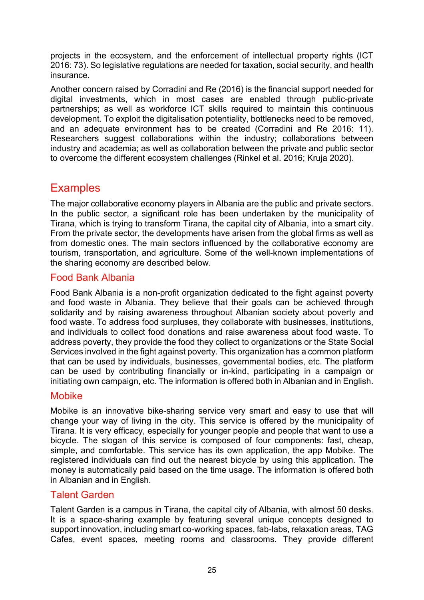projects in the ecosystem, and the enforcement of intellectual property rights (ICT 2016: 73). So legislative regulations are needed for taxation, social security, and health insurance.

Another concern raised by Corradini and Re (2016) is the financial support needed for digital investments, which in most cases are enabled through public-private partnerships; as well as workforce ICT skills required to maintain this continuous development. To exploit the digitalisation potentiality, bottlenecks need to be removed, and an adequate environment has to be created (Corradini and Re 2016: 11). Researchers suggest collaborations within the industry; collaborations between industry and academia; as well as collaboration between the private and public sector to overcome the different ecosystem challenges (Rinkel et al. 2016; Kruja 2020).

## **Examples**

The major collaborative economy players in Albania are the public and private sectors. In the public sector, a significant role has been undertaken by the municipality of Tirana, which is trying to transform Tirana, the capital city of Albania, into a smart city. From the private sector, the developments have arisen from the global firms as well as from domestic ones. The main sectors influenced by the collaborative economy are tourism, transportation, and agriculture. Some of the well-known implementations of the sharing economy are described below.

### Food Bank Albania

Food Bank Albania is a non-profit organization dedicated to the fight against poverty and food waste in Albania. They believe that their goals can be achieved through solidarity and by raising awareness throughout Albanian society about poverty and food waste. To address food surpluses, they collaborate with businesses, institutions, and individuals to collect food donations and raise awareness about food waste. To address poverty, they provide the food they collect to organizations or the State Social Services involved in the fight against poverty. This organization has a common platform that can be used by individuals, businesses, governmental bodies, etc. The platform can be used by contributing financially or in-kind, participating in a campaign or initiating own campaign, etc. The information is offered both in Albanian and in English.

### Mobike

Mobike is an innovative bike-sharing service very smart and easy to use that will change your way of living in the city. This service is offered by the municipality of Tirana. It is very efficacy, especially for younger people and people that want to use a bicycle. The slogan of this service is composed of four components: fast, cheap, simple, and comfortable. This service has its own application, the app Mobike. The registered individuals can find out the nearest bicycle by using this application. The money is automatically paid based on the time usage. The information is offered both in Albanian and in English.

### Talent Garden

Talent Garden is a campus in Tirana, the capital city of Albania, with almost 50 desks. It is a space-sharing example by featuring several unique concepts designed to support innovation, including smart co-working spaces, fab-labs, relaxation areas, TAG Cafes, event spaces, meeting rooms and classrooms. They provide different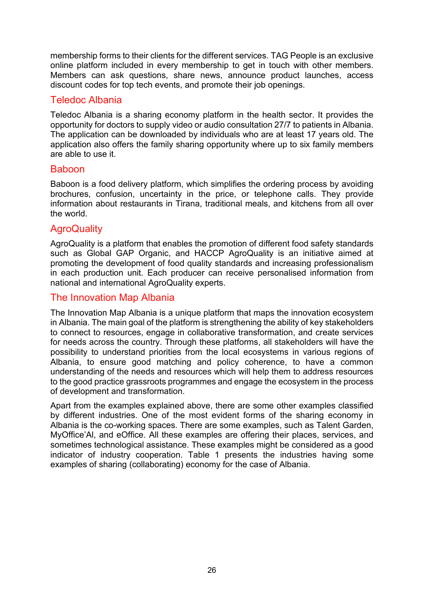membership forms to their clients for the different services. TAG People is an exclusive online platform included in every membership to get in touch with other members. Members can ask questions, share news, announce product launches, access discount codes for top tech events, and promote their job openings.

### Teledoc Albania

Teledoc Albania is a sharing economy platform in the health sector. It provides the opportunity for doctors to supply video or audio consultation 27/7 to patients in Albania. The application can be downloaded by individuals who are at least 17 years old. The application also offers the family sharing opportunity where up to six family members are able to use it.

#### Baboon

Baboon is a food delivery platform, which simplifies the ordering process by avoiding brochures, confusion, uncertainty in the price, or telephone calls. They provide information about restaurants in Tirana, traditional meals, and kitchens from all over the world.

### **AgroQuality**

AgroQuality is a platform that enables the promotion of different food safety standards such as Global GAP Organic, and HACCP AgroQuality is an initiative aimed at promoting the development of food quality standards and increasing professionalism in each production unit. Each producer can receive personalised information from national and international AgroQuality experts.

### The Innovation Map Albania

The Innovation Map Albania is a unique platform that maps the innovation ecosystem in Albania. The main goal of the platform is strengthening the ability of key stakeholders to connect to resources, engage in collaborative transformation, and create services for needs across the country. Through these platforms, all stakeholders will have the possibility to understand priorities from the local ecosystems in various regions of Albania, to ensure good matching and policy coherence, to have a common understanding of the needs and resources which will help them to address resources to the good practice grassroots programmes and engage the ecosystem in the process of development and transformation.

Apart from the examples explained above, there are some other examples classified by different industries. One of the most evident forms of the sharing economy in Albania is the co-working spaces. There are some examples, such as Talent Garden, MyOffice'Al, and eOffice. All these examples are offering their places, services, and sometimes technological assistance. These examples might be considered as a good indicator of industry cooperation. Table 1 presents the industries having some examples of sharing (collaborating) economy for the case of Albania.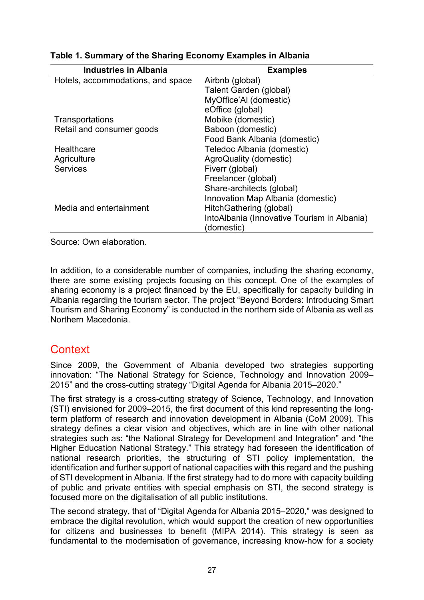| <b>Industries in Albania</b>      | <b>Examples</b>                             |
|-----------------------------------|---------------------------------------------|
| Hotels, accommodations, and space | Airbnb (global)                             |
|                                   | Talent Garden (global)                      |
|                                   | MyOffice'AI (domestic)                      |
|                                   | eOffice (global)                            |
| Transportations                   | Mobike (domestic)                           |
| Retail and consumer goods         | Baboon (domestic)                           |
|                                   | Food Bank Albania (domestic)                |
| Healthcare                        | Teledoc Albania (domestic)                  |
| Agriculture                       | AgroQuality (domestic)                      |
| <b>Services</b>                   | Fiverr (global)                             |
|                                   | Freelancer (global)                         |
|                                   | Share-architects (global)                   |
|                                   | Innovation Map Albania (domestic)           |
| Media and entertainment           | HitchGathering (global)                     |
|                                   | IntoAlbania (Innovative Tourism in Albania) |
|                                   | (domestic)                                  |

### **Table 1. Summary of the Sharing Economy Examples in Albania**

Source: Own elaboration.

In addition, to a considerable number of companies, including the sharing economy, there are some existing projects focusing on this concept. One of the examples of sharing economy is a project financed by the EU, specifically for capacity building in Albania regarding the tourism sector. The project "Beyond Borders: Introducing Smart Tourism and Sharing Economy" is conducted in the northern side of Albania as well as Northern Macedonia.

## **Context**

Since 2009, the Government of Albania developed two strategies supporting innovation: "The National Strategy for Science, Technology and Innovation 2009– 2015" and the cross-cutting strategy "Digital Agenda for Albania 2015–2020."

The first strategy is a cross-cutting strategy of Science, Technology, and Innovation (STI) envisioned for 2009–2015, the first document of this kind representing the longterm platform of research and innovation development in Albania (CoM 2009). This strategy defines a clear vision and objectives, which are in line with other national strategies such as: "the National Strategy for Development and Integration" and "the Higher Education National Strategy." This strategy had foreseen the identification of national research priorities, the structuring of STI policy implementation, the identification and further support of national capacities with this regard and the pushing of STI development in Albania. If the first strategy had to do more with capacity building of public and private entities with special emphasis on STI, the second strategy is focused more on the digitalisation of all public institutions.

The second strategy, that of "Digital Agenda for Albania 2015–2020," was designed to embrace the digital revolution, which would support the creation of new opportunities for citizens and businesses to benefit (MIPA 2014). This strategy is seen as fundamental to the modernisation of governance, increasing know-how for a society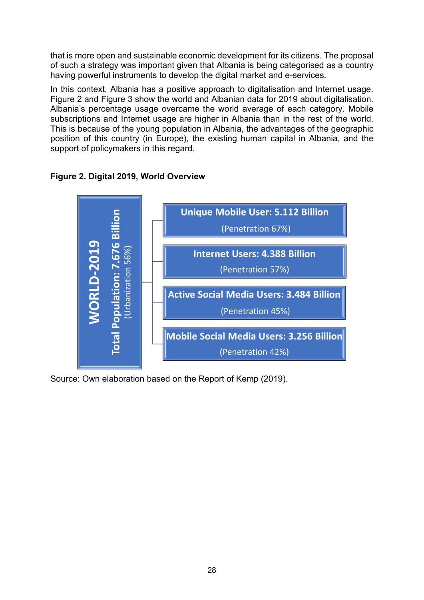that is more open and sustainable economic development for its citizens. The proposal of such a strategy was important given that Albania is being categorised as a country having powerful instruments to develop the digital market and e-services.

In this context, Albania has a positive approach to digitalisation and Internet usage. Figure 2 and Figure 3 show the world and Albanian data for 2019 about digitalisation. Albania's percentage usage overcame the world average of each category. Mobile subscriptions and Internet usage are higher in Albania than in the rest of the world. This is because of the young population in Albania, the advantages of the geographic position of this country (in Europe), the existing human capital in Albania, and the support of policymakers in this regard.



**Figure 2. Digital 2019, World Overview**

Source: Own elaboration based on the Report of Kemp (2019).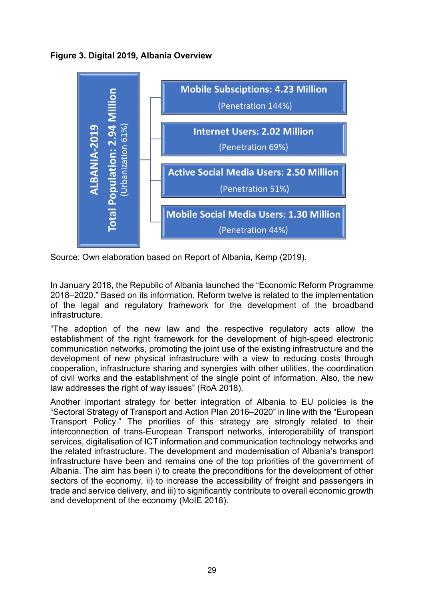**Figure 3. Digital 2019, Albania Overview**



Source: Own elaboration based on Report of Albania, Kemp (2019).

In January 2018, the Republic of Albania launched the "Economic Reform Programme 2018–2020." Based on its information, Reform twelve is related to the implementation of the legal and regulatory framework for the development of the broadband infrastructure.

"The adoption of the new law and the respective regulatory acts allow the establishment of the right framework for the development of high-speed electronic communication networks, promoting the joint use of the existing infrastructure and the development of new physical infrastructure with a view to reducing costs through cooperation, infrastructure sharing and synergies with other utilities, the coordination of civil works and the establishment of the single point of information. Also, the new law addresses the right of way issues" (RoA 2018).

Another important strategy for better integration of Albania to EU policies is the "Sectoral Strategy of Transport and Action Plan 2016–2020" in line with the "European Transport Policy." The priorities of this strategy are strongly related to their interconnection of trans-European Transport networks, interoperability of transport services, digitalisation of ICT information and communication technology networks and the related infrastructure. The development and modernisation of Albania's transport infrastructure have been and remains one of the top priorities of the government of Albania. The aim has been i) to create the preconditions for the development of other sectors of the economy, ii) to increase the accessibility of freight and passengers in trade and service delivery, and iii) to significantly contribute to overall economic growth and development of the economy (MoIE 2018).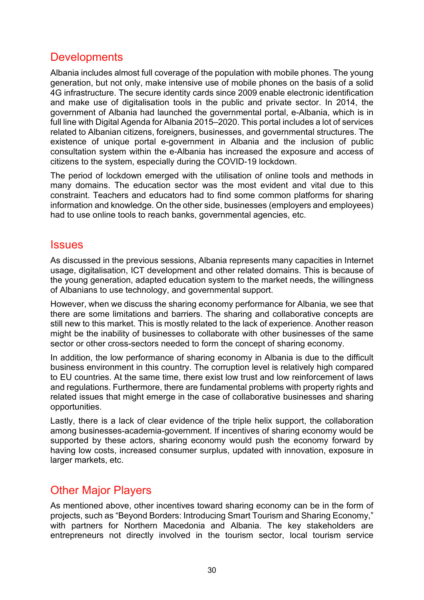## **Developments**

Albania includes almost full coverage of the population with mobile phones. The young generation, but not only, make intensive use of mobile phones on the basis of a solid 4G infrastructure. The secure identity cards since 2009 enable electronic identification and make use of digitalisation tools in the public and private sector. In 2014, the government of Albania had launched the governmental portal, e-Albania, which is in full line with Digital Agenda for Albania 2015–2020. This portal includes a lot of services related to Albanian citizens, foreigners, businesses, and governmental structures. The existence of unique portal e-government in Albania and the inclusion of public consultation system within the e-Albania has increased the exposure and access of citizens to the system, especially during the COVID-19 lockdown.

The period of lockdown emerged with the utilisation of online tools and methods in many domains. The education sector was the most evident and vital due to this constraint. Teachers and educators had to find some common platforms for sharing information and knowledge. On the other side, businesses (employers and employees) had to use online tools to reach banks, governmental agencies, etc.

### **Issues**

As discussed in the previous sessions, Albania represents many capacities in Internet usage, digitalisation, ICT development and other related domains. This is because of the young generation, adapted education system to the market needs, the willingness of Albanians to use technology, and governmental support.

However, when we discuss the sharing economy performance for Albania, we see that there are some limitations and barriers. The sharing and collaborative concepts are still new to this market. This is mostly related to the lack of experience. Another reason might be the inability of businesses to collaborate with other businesses of the same sector or other cross-sectors needed to form the concept of sharing economy.

In addition, the low performance of sharing economy in Albania is due to the difficult business environment in this country. The corruption level is relatively high compared to EU countries. At the same time, there exist low trust and low reinforcement of laws and regulations. Furthermore, there are fundamental problems with property rights and related issues that might emerge in the case of collaborative businesses and sharing opportunities.

Lastly, there is a lack of clear evidence of the triple helix support, the collaboration among businesses-academia-government. If incentives of sharing economy would be supported by these actors, sharing economy would push the economy forward by having low costs, increased consumer surplus, updated with innovation, exposure in larger markets, etc.

## Other Major Players

As mentioned above, other incentives toward sharing economy can be in the form of projects, such as "Beyond Borders: Introducing Smart Tourism and Sharing Economy," with partners for Northern Macedonia and Albania. The key stakeholders are entrepreneurs not directly involved in the tourism sector, local tourism service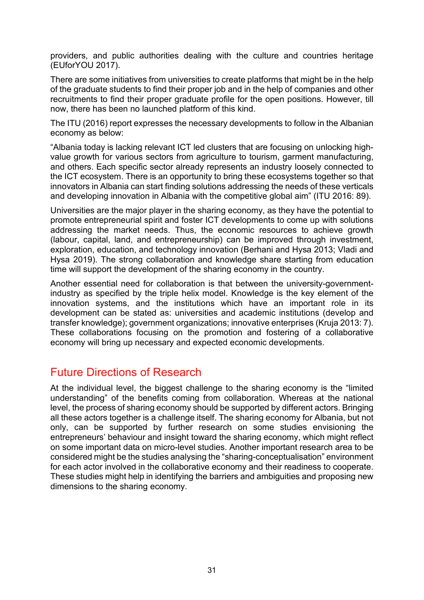providers, and public authorities dealing with the culture and countries heritage (EUforYOU 2017).

There are some initiatives from universities to create platforms that might be in the help of the graduate students to find their proper job and in the help of companies and other recruitments to find their proper graduate profile for the open positions. However, till now, there has been no launched platform of this kind.

The ITU (2016) report expresses the necessary developments to follow in the Albanian economy as below:

"Albania today is lacking relevant ICT led clusters that are focusing on unlocking highvalue growth for various sectors from agriculture to tourism, garment manufacturing, and others. Each specific sector already represents an industry loosely connected to the ICT ecosystem. There is an opportunity to bring these ecosystems together so that innovators in Albania can start finding solutions addressing the needs of these verticals and developing innovation in Albania with the competitive global aim" (ITU 2016: 89).

Universities are the major player in the sharing economy, as they have the potential to promote entrepreneurial spirit and foster ICT developments to come up with solutions addressing the market needs. Thus, the economic resources to achieve growth (labour, capital, land, and entrepreneurship) can be improved through investment, exploration, education, and technology innovation (Berhani and Hysa 2013; Vladi and Hysa 2019). The strong collaboration and knowledge share starting from education time will support the development of the sharing economy in the country.

Another essential need for collaboration is that between the university-governmentindustry as specified by the triple helix model. Knowledge is the key element of the innovation systems, and the institutions which have an important role in its development can be stated as: universities and academic institutions (develop and transfer knowledge); government organizations; innovative enterprises (Kruja 2013: 7). These collaborations focusing on the promotion and fostering of a collaborative economy will bring up necessary and expected economic developments.

### Future Directions of Research

At the individual level, the biggest challenge to the sharing economy is the "limited understanding" of the benefits coming from collaboration. Whereas at the national level, the process of sharing economy should be supported by different actors. Bringing all these actors together is a challenge itself. The sharing economy for Albania, but not only, can be supported by further research on some studies envisioning the entrepreneurs' behaviour and insight toward the sharing economy, which might reflect on some important data on micro-level studies. Another important research area to be considered might be the studies analysing the "sharing-conceptualisation" environment for each actor involved in the collaborative economy and their readiness to cooperate. These studies might help in identifying the barriers and ambiguities and proposing new dimensions to the sharing economy.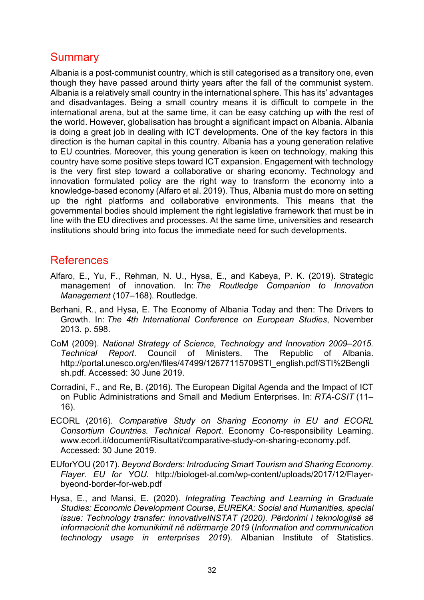## **Summary**

Albania is a post-communist country, which is still categorised as a transitory one, even though they have passed around thirty years after the fall of the communist system. Albania is a relatively small country in the international sphere. This has its' advantages and disadvantages. Being a small country means it is difficult to compete in the international arena, but at the same time, it can be easy catching up with the rest of the world. However, globalisation has brought a significant impact on Albania. Albania is doing a great job in dealing with ICT developments. One of the key factors in this direction is the human capital in this country. Albania has a young generation relative to EU countries. Moreover, this young generation is keen on technology, making this country have some positive steps toward ICT expansion. Engagement with technology is the very first step toward a collaborative or sharing economy. Technology and innovation formulated policy are the right way to transform the economy into a knowledge-based economy (Alfaro et al. 2019). Thus, Albania must do more on setting up the right platforms and collaborative environments. This means that the governmental bodies should implement the right legislative framework that must be in line with the EU directives and processes. At the same time, universities and research institutions should bring into focus the immediate need for such developments.

## References

- Alfaro, E., Yu, F., Rehman, N. U., Hysa, E., and Kabeya, P. K. (2019). Strategic management of innovation. In: *The Routledge Companion to Innovation Management* (107–168). Routledge.
- Berhani, R., and Hysa, E. The Economy of Albania Today and then: The Drivers to Growth. In: *The 4th International Conference on European Studies*, November 2013. p. 598.
- CoM (2009). *National Strategy of Science, Technology and Innovation 2009–2015. Technical Report*. Council of Ministers. The Republic of Albania. [http://portal.unesco.org/en/files/47499/126771](http://portal.unesco.org/en/files/47499/12677115709STI_english.pdf/STI%2Benglish.pdf)15709STI\_english.pdf/STI%2Bengli\_ [sh.pdf.](http://portal.unesco.org/en/files/47499/12677115709STI_english.pdf/STI%2Benglish.pdf) Accessed: 30 June 2019.
- Corradini, F., and Re, B. (2016). The European Digital Agenda and the Impact of ICT on Public Administrations and Small and Medium Enterprises. In: *RTA-CSIT* (11– 16).
- ECORL (2016). *Comparative Study on Sharing Economy in EU and ECORL Consortium Countries. Technical Report*. Economy Co-responsibility Learning. [www.ecorl.it/documenti/Risultati/comparative-study-on-sharing-economy.pdf.](https://www.ecorl.it/documenti/Risultati/comparative-study-on-sharing-economy.pdf) Accessed: 30 June 2019.
- EUforYOU (2017). *Beyond Borders: Introducing Smart Tourism and Sharing Economy. Flayer. EU for YOU*. http://biologet[-al.com/wp-content/uploads/2017/12/Flayer](http://biologet-al.com/wp-content/uploads/2017/12/Flayer-byeond-border-for-web.pdf)byeond-border-for-[web.pdf](http://biologet-al.com/wp-content/uploads/2017/12/Flayer-byeond-border-for-web.pdf)
- Hysa, E., and Mansi, E. (2020). *Integrating Teaching and Learning in Graduate Studies: Economic Development Course, EUREKA: Social and Humanities, special issue: Technology transfer: innovativeINSTAT (2020). Përdorimi i [teknologjisë së](http://www.instat.gov.al/al/temat/shkenc%C3%AB-teknologji-dhe-shoq%C3%ABria-dixhitale/informacioni-dhe-teknologjit%C3%AB-e-komunikimit/publikimet/2020/teknologjia-e-informacionit-dhe-komunikimit-n%C3%AB-nd%C3%ABrmarrje-2019/)  [informacionit dhe komunikimit në ndërmarrje](http://www.instat.gov.al/al/temat/shkenc%C3%AB-teknologji-dhe-shoq%C3%ABria-dixhitale/informacioni-dhe-teknologjit%C3%AB-e-komunikimit/publikimet/2020/teknologjia-e-informacionit-dhe-komunikimit-n%C3%AB-nd%C3%ABrmarrje-2019/) 2019* (*Information and communication technology usage in enterprises 2019*). Albanian Institute of Statistics.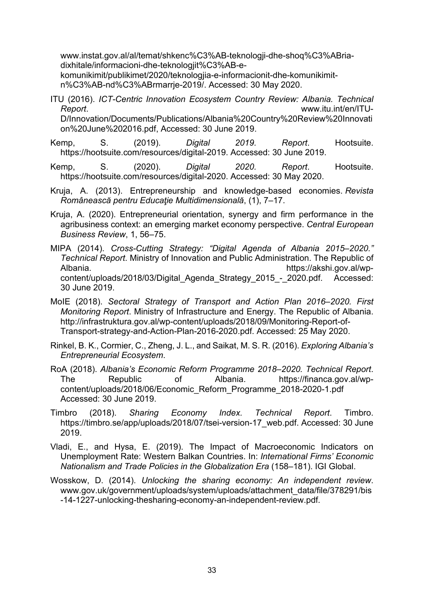[www.instat.gov.al/al/temat/shkenc%C3%AB](http://www.instat.gov.al/al/temat/shkenc%C3%AB-teknologji-dhe-shoq%C3%ABria-dixhitale/informacioni-dhe-teknologjit%C3%AB-e-komunikimit/publikimet/2020/teknologjia-e-informacionit-dhe-komunikimit-n%C3%AB-nd%C3%ABrmarrje-2019/)-teknologji-dhe-shoq%C3%ABria[dixhitale/informacioni](http://www.instat.gov.al/al/temat/shkenc%C3%AB-teknologji-dhe-shoq%C3%ABria-dixhitale/informacioni-dhe-teknologjit%C3%AB-e-komunikimit/publikimet/2020/teknologjia-e-informacionit-dhe-komunikimit-n%C3%AB-nd%C3%ABrmarrje-2019/)-dhe-teknologjit%C3%AB-e-

[komunikimit/publikimet/2020/teknologjia](http://www.instat.gov.al/al/temat/shkenc%C3%AB-teknologji-dhe-shoq%C3%ABria-dixhitale/informacioni-dhe-teknologjit%C3%AB-e-komunikimit/publikimet/2020/teknologjia-e-informacionit-dhe-komunikimit-n%C3%AB-nd%C3%ABrmarrje-2019/)-e-informacionit-dhe-komunikimitn%C3%AB-[nd%C3%ABrmarrje](http://www.instat.gov.al/al/temat/shkenc%C3%AB-teknologji-dhe-shoq%C3%ABria-dixhitale/informacioni-dhe-teknologjit%C3%AB-e-komunikimit/publikimet/2020/teknologjia-e-informacionit-dhe-komunikimit-n%C3%AB-nd%C3%ABrmarrje-2019/)-2019/. Accessed: 30 May 2020.

- ITU (2016). *ICT-Centric Innovation Ecosystem Country Review: Albania. Technical Report*. [www.itu.int/en/ITU-](https://www.itu.int/en/ITU-D/Innovation/Documents/Publications/Albania%20Country%20Review%20Innovation%20June%202016.pdf)[D/Innovation/Documents/Publications/Albania%20Country%20Review%20Innovati](https://www.itu.int/en/ITU-D/Innovation/Documents/Publications/Albania%20Country%20Review%20Innovation%20June%202016.pdf) [on%20June%202016.pdf](https://www.itu.int/en/ITU-D/Innovation/Documents/Publications/Albania%20Country%20Review%20Innovation%20June%202016.pdf), Accessed: 30 June 2019.
- Kemp, S. (2019). *Digital 2019. Report*. Hootsuite. [https://hootsuite.com/resources/digital-201](https://hootsuite.com/resources/digital-20)9. Accessed: 30 June 2019.
- Kemp, S. (2020). *Digital 2020. Report*. Hootsuite. [https://hootsuite.com/resources/digital-2020.](https://hootsuite.com/resources/digital-2020) Accessed: 30 May 2020.
- Kruja, A. (2013). Entrepreneurship and knowledge-based economies. *Revista Românească pentru Educaţie Multidimensională*, (1), 7–17.
- Kruja, A. (2020). Entrepreneurial orientation, synergy and firm performance in the agribusiness context: an emerging market economy perspective. *Central European Business Review*, 1, 56–75.
- MIPA (2014). *Cross-Cutting Strategy: "Digital Agenda of Albania 2015–2020." Technical Report*. Ministry of Innovation and Public Administration. The Republic of Albania. [https://akshi.gov.al/wp](https://akshi.gov.al/wp-content/uploads/2018/03/Digital_Agenda_Strategy_2015_-_2020.pdf)[content/uploads/2018/03/Digital\\_Agenda\\_Strategy\\_2015\\_](https://akshi.gov.al/wp-content/uploads/2018/03/Digital_Agenda_Strategy_2015_-_2020.pdf)-\_2020.pdf. Accessed: 30 June 2019.
- MoIE (2018). *Sectoral Strategy of Transport and Action Plan 2016–2020. First Monitoring Report*. Ministry of Infrastructure and Energy. The Republic of Albania. [http://infrastruktura.gov.al/wp-content/uploads/2018/09/Monitoring-Report-of-](http://infrastruktura.gov.al/wp-content/uploads/2018/09/Monitoring-Report-of-Transport-strategy-and-Action-Plan-2016-2020.pdf)[Transport-strategy-and-Action-Plan-2016-2020.pdf.](http://infrastruktura.gov.al/wp-content/uploads/2018/09/Monitoring-Report-of-Transport-strategy-and-Action-Plan-2016-2020.pdf) Accessed: 25 May 2020.
- Rinkel, B. K., Cormier, C., Zheng, J. L., and Saikat, M. S. R. (2016). *Exploring Albania's Entrepreneurial Ecosystem*.
- RoA (2018). *Albania's Economic Reform Programme 2018–2020. Technical Report*. The Republic of Albania. [https://financa.gov.al/wp](https://financa.gov.al/wp-content/uploads/2018/06/Economic_Reform_Programme_2018-2020-1.pdf)[content/uploads/2018/06/Economic\\_Reform\\_Programme\\_2018-2020-1.pdf](https://financa.gov.al/wp-content/uploads/2018/06/Economic_Reform_Programme_2018-2020-1.pdf) Accessed: 30 June 2019.
- Timbro (2018). *Sharing Economy Index. Technical Report*. Timbro. [https://timbro.se/app/uploads/2018/07/tsei](https://timbro.se/app/uploads/2018/07/tsei-version-17_web.pdf)-version-17\_web.pdf. Accessed: 30 June 2019.
- Vladi, E., and Hysa, E. (2019). The Impact of Macroeconomic Indicators on Unemployment Rate: Western Balkan Countries. In: *International Firms' Economic Nationalism and Trade Policies in the Globalization Era* (158–181). IGI Global.
- Wosskow, D. (2014). *Unlocking the sharing economy: An independent review*. www.gov.uk/government/uploads/system/uploads/attachment\_data/file/378291/bis -14-1227-unlocking-thesharing-economy-an-independent-review.pdf.